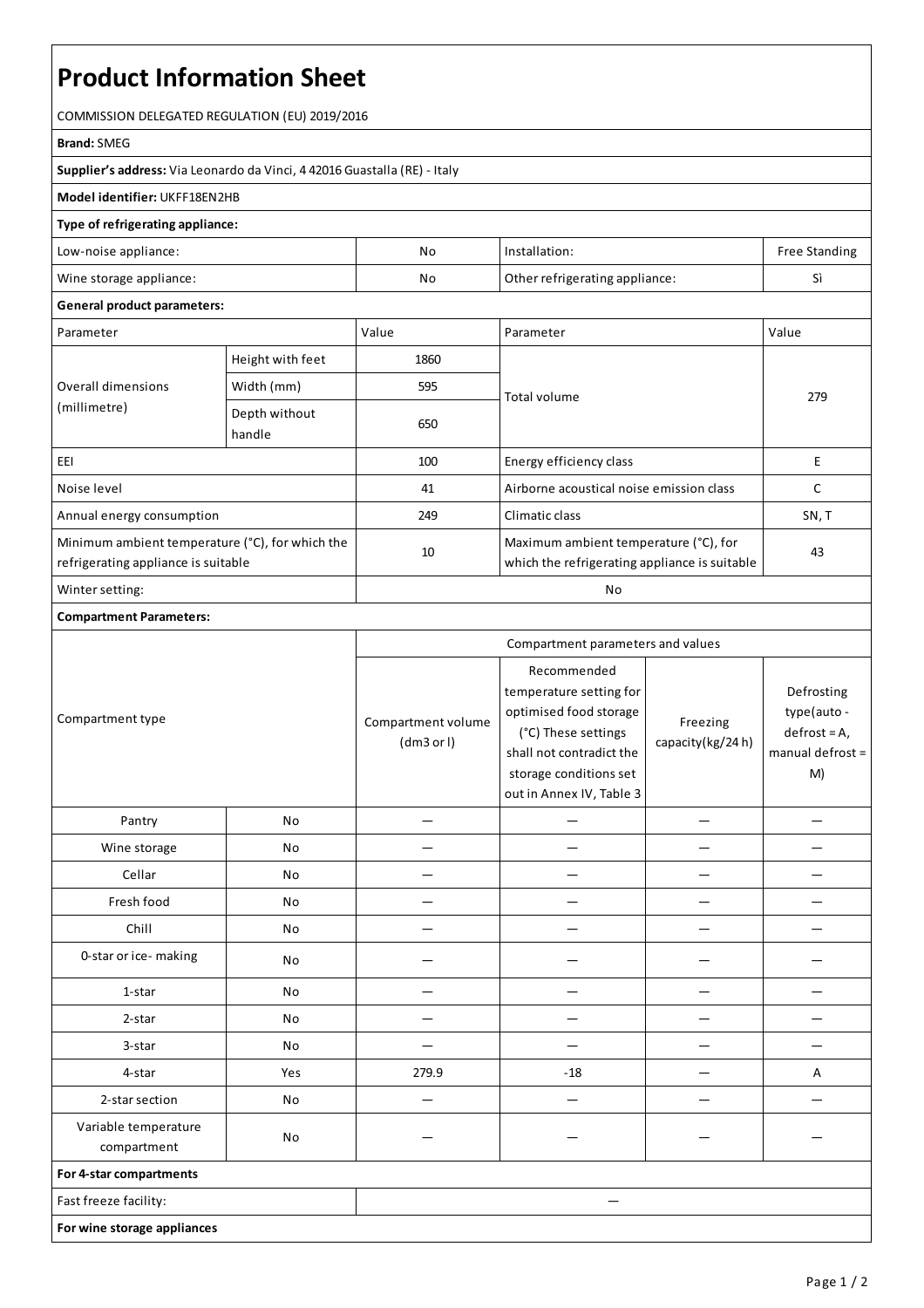# **Product Information Sheet**

COMMISSION DELEGATED REGULATION (EU) 2019/2016

#### **Brand:**SMEG

**Supplier's address:** ViaLeonardo da Vinci, 4 42016 Guastalla(RE) - Italy

### **Model identifier:** UKFF18EN2HB

### **Type of refrigerating appliance:**

| Low-noise appliance:    | Νc                                   | Installation: | <b>Free Standing</b> |
|-------------------------|--------------------------------------|---------------|----------------------|
| Wine storage appliance: | Other refrigerating appliance:<br>No |               | Ë                    |

#### **General product parameters:**

| Parameter                                                                              |                         | Value | Parameter                                                                              | Value |
|----------------------------------------------------------------------------------------|-------------------------|-------|----------------------------------------------------------------------------------------|-------|
| Overall dimensions<br>(millimetre)                                                     | Height with feet        | 1860  |                                                                                        | 279   |
|                                                                                        | Width (mm)              | 595   | Total volume                                                                           |       |
|                                                                                        | Depth without<br>handle | 650   |                                                                                        |       |
| EEI                                                                                    |                         | 100   | Energy efficiency class                                                                | E     |
| Noise level                                                                            |                         | 41    | Airborne acoustical noise emission class                                               |       |
| Annual energy consumption                                                              |                         | 249   | Climatic class                                                                         | SN, T |
| Minimum ambient temperature (°C), for which the<br>refrigerating appliance is suitable |                         | 10    | Maximum ambient temperature (°C), for<br>which the refrigerating appliance is suitable | 43    |
| Winter setting:                                                                        |                         | No    |                                                                                        |       |

## **Compartment Parameters:**

| Compartment type                    |     | Compartment parameters and values |                                                                                                                                                                           |                              |                                                                        |
|-------------------------------------|-----|-----------------------------------|---------------------------------------------------------------------------------------------------------------------------------------------------------------------------|------------------------------|------------------------------------------------------------------------|
|                                     |     | Compartment volume<br>(dm3 or l)  | Recommended<br>temperature setting for<br>optimised food storage<br>(°C) These settings<br>shall not contradict the<br>storage conditions set<br>out in Annex IV, Table 3 | Freezing<br>capacity(kg/24h) | Defrosting<br>type(auto-<br>$defrost = A,$<br>manual defrost $=$<br>M) |
| Pantry                              | No  |                                   |                                                                                                                                                                           |                              |                                                                        |
| Wine storage                        | No  |                                   |                                                                                                                                                                           |                              |                                                                        |
| Cellar                              | No  |                                   |                                                                                                                                                                           |                              |                                                                        |
| Fresh food                          | No  |                                   |                                                                                                                                                                           |                              |                                                                        |
| Chill                               | No  |                                   |                                                                                                                                                                           |                              |                                                                        |
| 0-star or ice-making                | No  |                                   |                                                                                                                                                                           |                              |                                                                        |
| 1-star                              | No  |                                   | -                                                                                                                                                                         |                              |                                                                        |
| 2-star                              | No  |                                   |                                                                                                                                                                           |                              |                                                                        |
| 3-star                              | No  |                                   |                                                                                                                                                                           |                              |                                                                        |
| 4-star                              | Yes | 279.9                             | $-18$                                                                                                                                                                     |                              | Α                                                                      |
| 2-star section                      | No  |                                   |                                                                                                                                                                           |                              |                                                                        |
| Variable temperature<br>compartment | No  |                                   |                                                                                                                                                                           |                              |                                                                        |
| For 4-star compartments             |     |                                   |                                                                                                                                                                           |                              |                                                                        |
| Fast freeze facility:               |     |                                   |                                                                                                                                                                           |                              |                                                                        |
| For wine storage appliances         |     |                                   |                                                                                                                                                                           |                              |                                                                        |